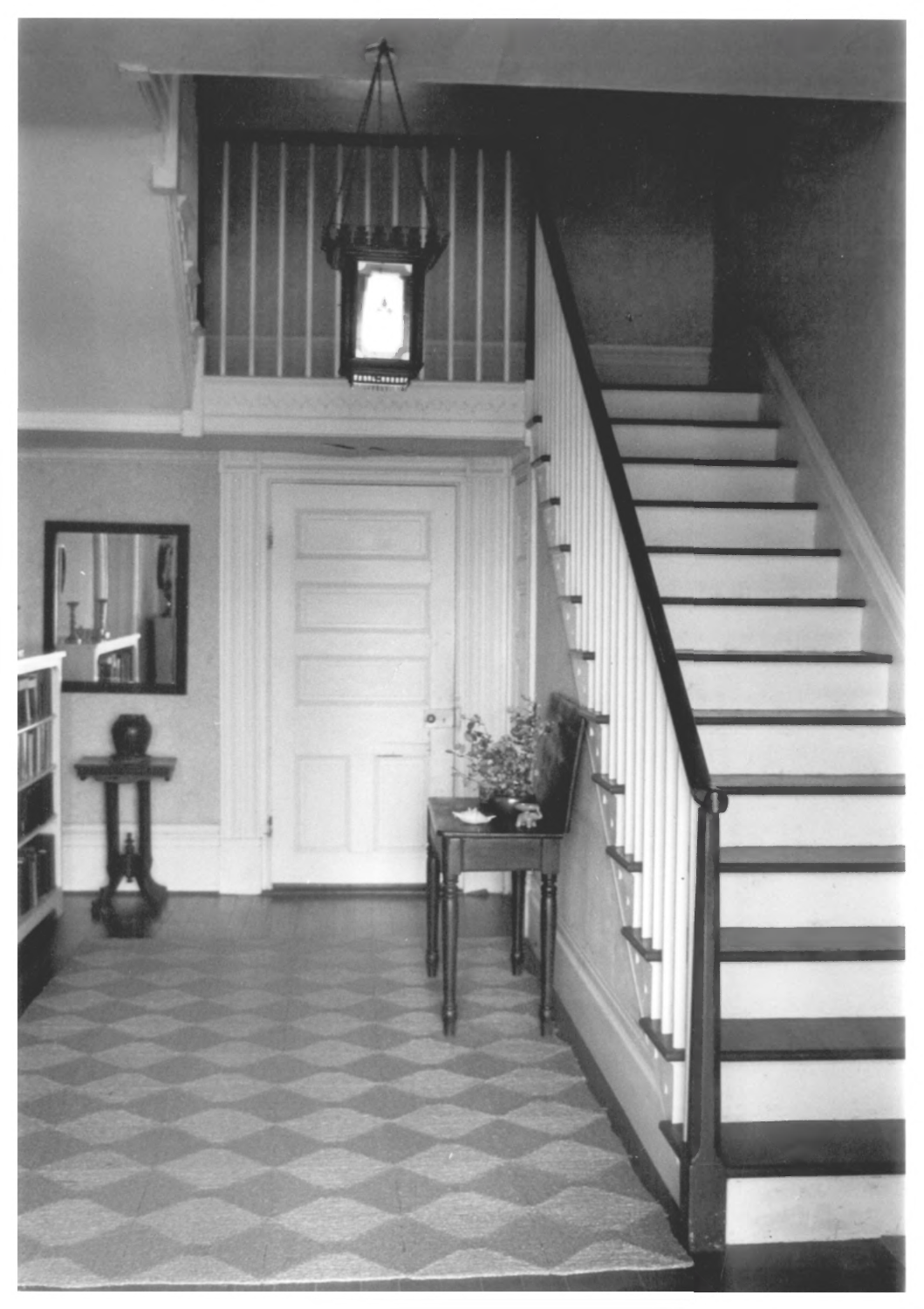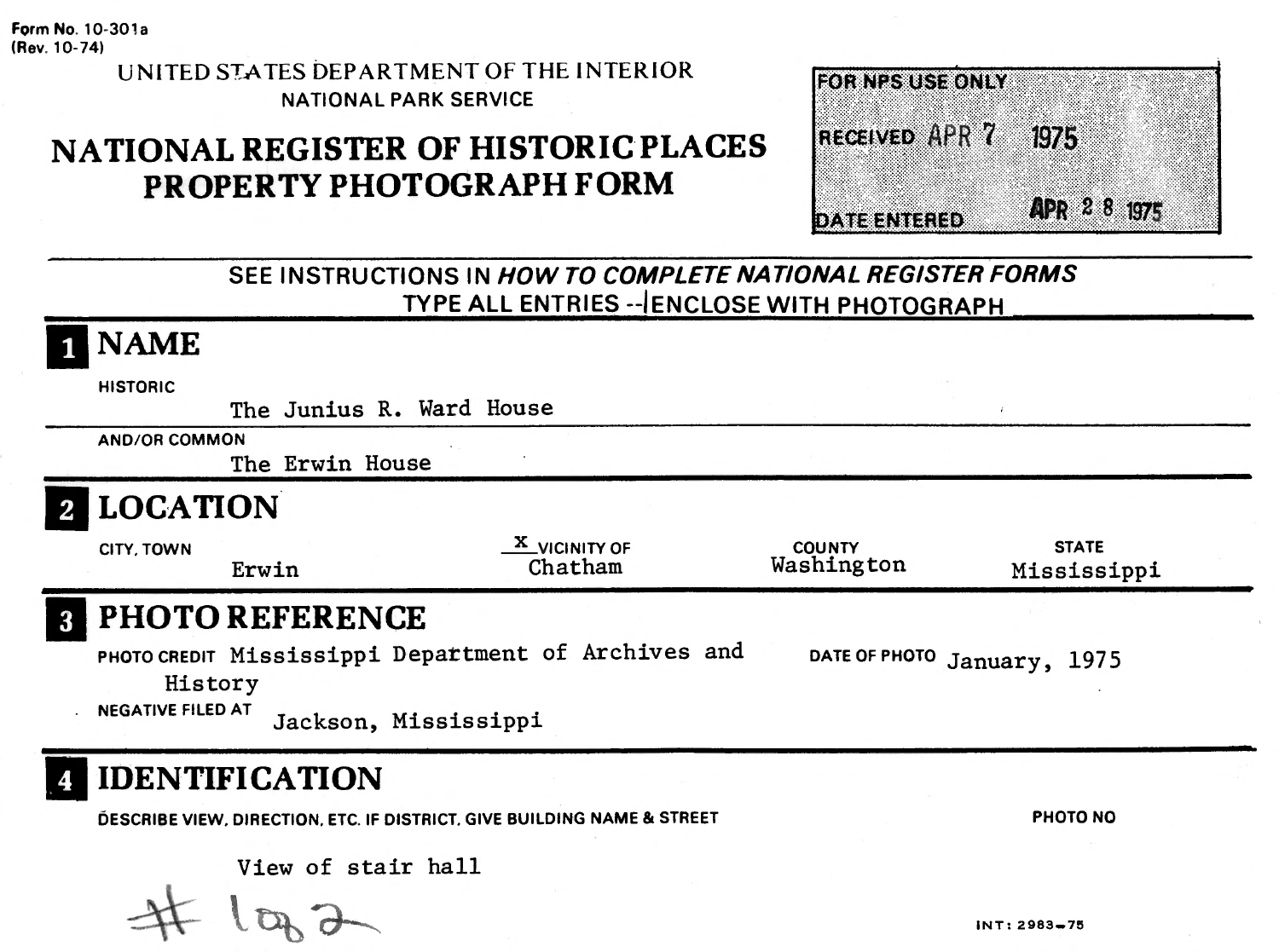**Form No** 10-30'a **(Rev.** 10-74)

> **UNITED STATES DEPARTMENT OF THE INTERIOR NATIONAL PARK SERVICE**

### **NATIONAL REGISTER OF HISTORIC PLACES PROPERTY PHOTOGRAPH FORM**



#### SEE INSTRUCTIONS IN **HOW TO COMPLETE NATIONAL REGISTER FORMS**  TYPE ALL ENTRIES -- ENCLOSE WITH PHOTOGRAPH

| <b>HISTORIC</b>                                                | The Junius R. Ward House |                             |                             |                             |
|----------------------------------------------------------------|--------------------------|-----------------------------|-----------------------------|-----------------------------|
| <b>AND/OR COMMON</b>                                           |                          |                             |                             |                             |
|                                                                | The Erwin House          |                             |                             |                             |
| <b>LOCATION</b>                                                |                          |                             |                             |                             |
| CITY, TOWN                                                     | Erwin                    | $X$ vicinity of<br>Chatham  | <b>COUNTY</b><br>Washington | <b>STATE</b><br>Mississippi |
|                                                                | PHOTO REFERENCE          |                             |                             |                             |
| PHOTO CREDIT Mississippi Department of Archives and<br>History |                          | DATE OF PHOTO January, 1975 |                             |                             |
| <b>NEGATIVE FILED AT</b>                                       | Jackson, Mississippi     |                             |                             |                             |

**DESCRIBE VIEW. DIRECTION. ETC. IF DISTRICT. GIVE BUILDING NAME & STREET**

**PHOTO NO**

View of stair hall

**INT: 2983-75**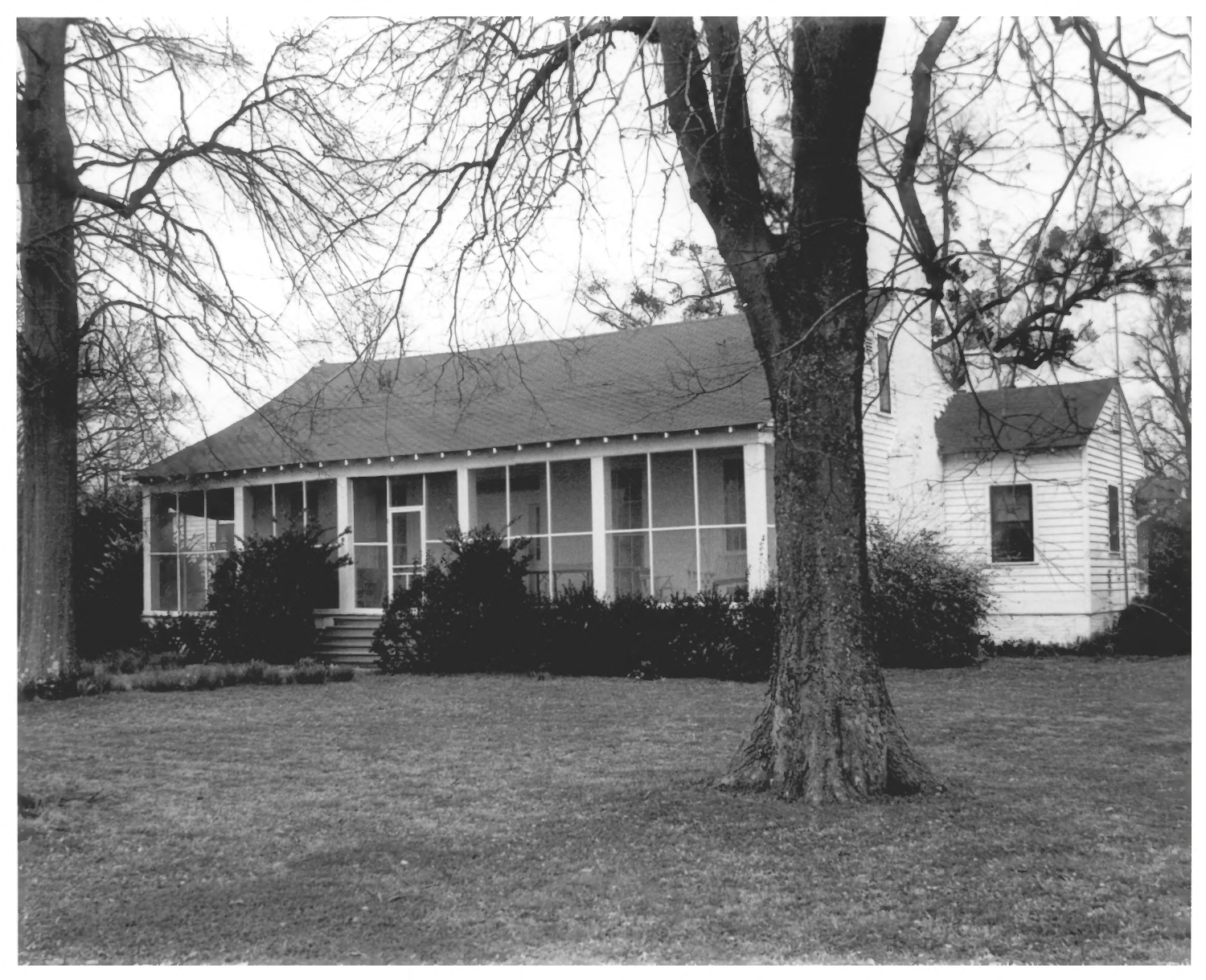